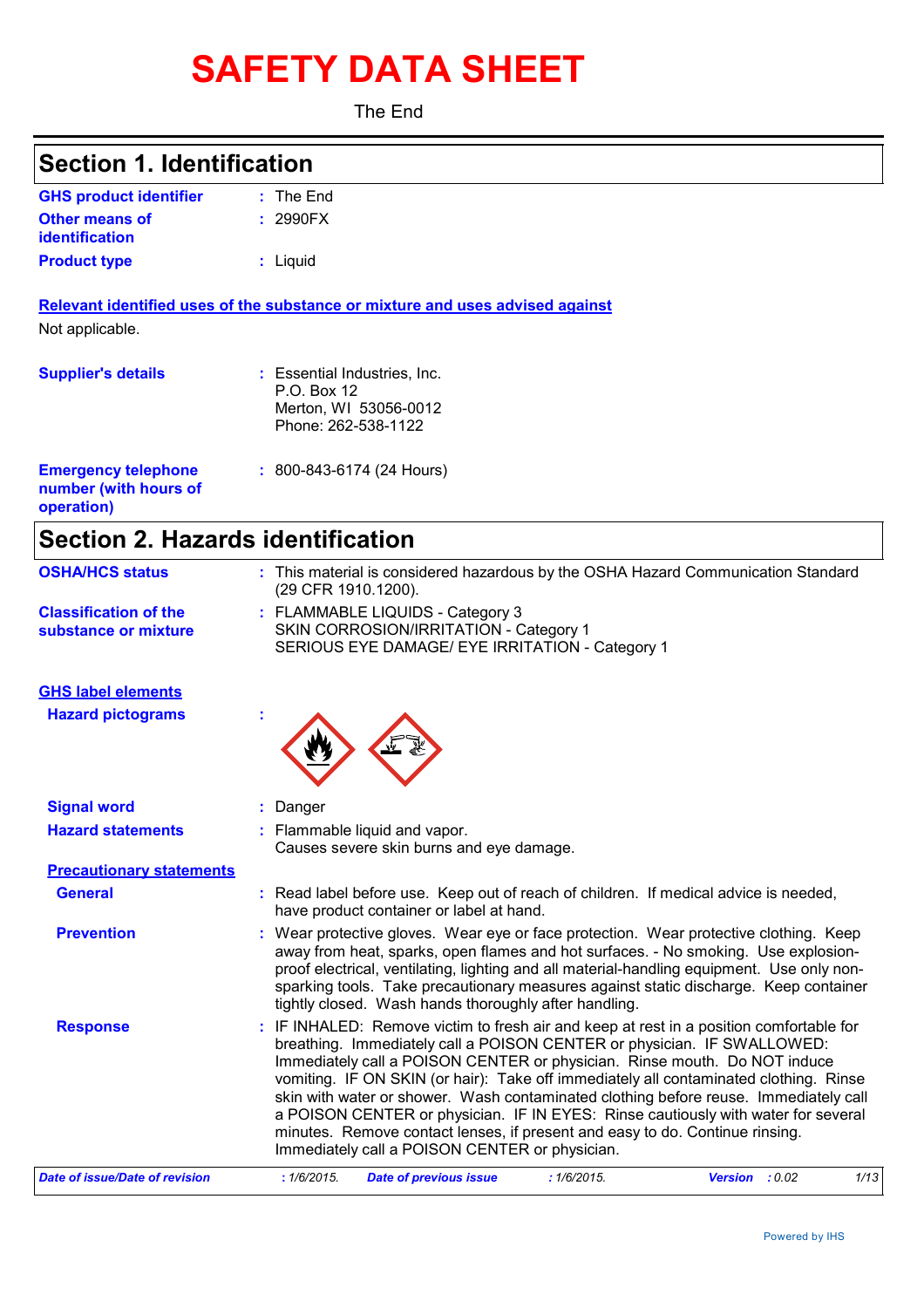# **SAFETY DATA SHEET**

The End

# **Section 1. Identification**

| <b>GHS product identifier</b> | $:$ The End |
|-------------------------------|-------------|
| <b>Other means of</b>         | : 2990FX    |
| identification                |             |
| <b>Product type</b>           | : Liguid    |

**Relevant identified uses of the substance or mixture and uses advised against** Not applicable.

| <b>Supplier's details</b>                                         | : Essential Industries, Inc.<br>P.O. Box 12<br>Merton, WI 53056-0012<br>Phone: 262-538-1122 |
|-------------------------------------------------------------------|---------------------------------------------------------------------------------------------|
| <b>Emergency telephone</b><br>number (with hours of<br>operation) | $: 800 - 843 - 6174 (24$ Hours)                                                             |

# **Section 2. Hazards identification**

| <b>OSHA/HCS status</b>                               | : This material is considered hazardous by the OSHA Hazard Communication Standard<br>(29 CFR 1910.1200).                                                                                                                                                                                                                                                                                                                                                                                                                                                                                                                                                |
|------------------------------------------------------|---------------------------------------------------------------------------------------------------------------------------------------------------------------------------------------------------------------------------------------------------------------------------------------------------------------------------------------------------------------------------------------------------------------------------------------------------------------------------------------------------------------------------------------------------------------------------------------------------------------------------------------------------------|
| <b>Classification of the</b><br>substance or mixture | : FLAMMABLE LIQUIDS - Category 3<br>SKIN CORROSION/IRRITATION - Category 1<br>SERIOUS EYE DAMAGE/ EYE IRRITATION - Category 1                                                                                                                                                                                                                                                                                                                                                                                                                                                                                                                           |
| <b>GHS label elements</b>                            |                                                                                                                                                                                                                                                                                                                                                                                                                                                                                                                                                                                                                                                         |
| <b>Hazard pictograms</b>                             |                                                                                                                                                                                                                                                                                                                                                                                                                                                                                                                                                                                                                                                         |
| <b>Signal word</b>                                   | : Danger                                                                                                                                                                                                                                                                                                                                                                                                                                                                                                                                                                                                                                                |
| <b>Hazard statements</b>                             | : Flammable liquid and vapor.<br>Causes severe skin burns and eye damage.                                                                                                                                                                                                                                                                                                                                                                                                                                                                                                                                                                               |
| <b>Precautionary statements</b>                      |                                                                                                                                                                                                                                                                                                                                                                                                                                                                                                                                                                                                                                                         |
| <b>General</b>                                       | : Read label before use. Keep out of reach of children. If medical advice is needed,<br>have product container or label at hand.                                                                                                                                                                                                                                                                                                                                                                                                                                                                                                                        |
| <b>Prevention</b>                                    | : Wear protective gloves. Wear eye or face protection. Wear protective clothing. Keep<br>away from heat, sparks, open flames and hot surfaces. - No smoking. Use explosion-<br>proof electrical, ventilating, lighting and all material-handling equipment. Use only non-<br>sparking tools. Take precautionary measures against static discharge. Keep container<br>tightly closed. Wash hands thoroughly after handling.                                                                                                                                                                                                                              |
| <b>Response</b>                                      | : IF INHALED: Remove victim to fresh air and keep at rest in a position comfortable for<br>breathing. Immediately call a POISON CENTER or physician. IF SWALLOWED:<br>Immediately call a POISON CENTER or physician. Rinse mouth. Do NOT induce<br>vomiting. IF ON SKIN (or hair): Take off immediately all contaminated clothing. Rinse<br>skin with water or shower. Wash contaminated clothing before reuse. Immediately call<br>a POISON CENTER or physician. IF IN EYES: Rinse cautiously with water for several<br>minutes. Remove contact lenses, if present and easy to do. Continue rinsing.<br>Immediately call a POISON CENTER or physician. |
| <b>Date of issue/Date of revision</b>                | 1/13<br>:1/6/2015.<br><b>Date of previous issue</b><br>:1/6/2015.<br>Version : 0.02                                                                                                                                                                                                                                                                                                                                                                                                                                                                                                                                                                     |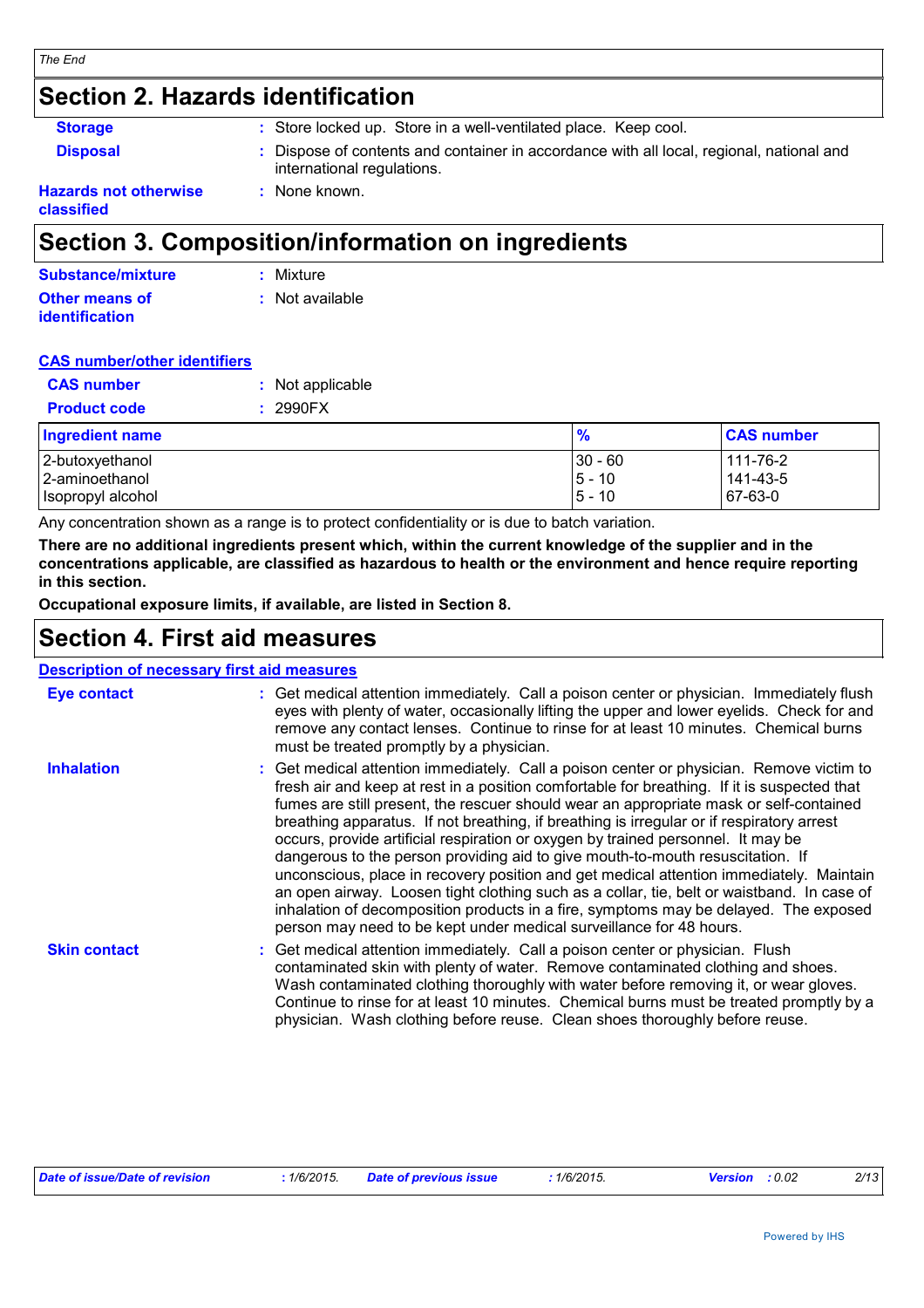# **Section 2. Hazards identification**

| <b>Storage</b>               | : Store locked up. Store in a well-ventilated place. Keep cool.                                                      |
|------------------------------|----------------------------------------------------------------------------------------------------------------------|
| <b>Disposal</b>              | Dispose of contents and container in accordance with all local, regional, national and<br>international regulations. |
| <b>Hazards not otherwise</b> | None known.                                                                                                          |

**classified**

# **Section 3. Composition/information on ingredients**

| Substance/mixture     | : Mixture       |
|-----------------------|-----------------|
| Other means of        | : Not available |
| <b>identification</b> |                 |

#### **CAS number/other identifiers**

| <b>CAS</b> number   | : Not applicable |
|---------------------|------------------|
| <b>Product code</b> | : 2990FX         |
|                     |                  |

| <b>Ingredient name</b> | $\frac{9}{6}$ | <b>CAS number</b> |
|------------------------|---------------|-------------------|
| 2-butoxyethanol        | $ 30 - 60$    | 111-76-2          |
| 2-aminoethanol         | $ 5 - 10$     | 141-43-5          |
| Isopropyl alcohol      | $5 - 10$      | 67-63-0           |

Any concentration shown as a range is to protect confidentiality or is due to batch variation.

**There are no additional ingredients present which, within the current knowledge of the supplier and in the concentrations applicable, are classified as hazardous to health or the environment and hence require reporting in this section.**

**Occupational exposure limits, if available, are listed in Section 8.**

### **Section 4. First aid measures**

| <b>Description of necessary first aid measures</b> |                                                                                                                                                                                                                                                                                                                                                                                                                                                                                                                                                                                                                                                                                                                                                                                                                                                                                                              |
|----------------------------------------------------|--------------------------------------------------------------------------------------------------------------------------------------------------------------------------------------------------------------------------------------------------------------------------------------------------------------------------------------------------------------------------------------------------------------------------------------------------------------------------------------------------------------------------------------------------------------------------------------------------------------------------------------------------------------------------------------------------------------------------------------------------------------------------------------------------------------------------------------------------------------------------------------------------------------|
| Eye contact                                        | : Get medical attention immediately. Call a poison center or physician. Immediately flush<br>eyes with plenty of water, occasionally lifting the upper and lower eyelids. Check for and<br>remove any contact lenses. Continue to rinse for at least 10 minutes. Chemical burns<br>must be treated promptly by a physician.                                                                                                                                                                                                                                                                                                                                                                                                                                                                                                                                                                                  |
| <b>Inhalation</b>                                  | : Get medical attention immediately. Call a poison center or physician. Remove victim to<br>fresh air and keep at rest in a position comfortable for breathing. If it is suspected that<br>fumes are still present, the rescuer should wear an appropriate mask or self-contained<br>breathing apparatus. If not breathing, if breathing is irregular or if respiratory arrest<br>occurs, provide artificial respiration or oxygen by trained personnel. It may be<br>dangerous to the person providing aid to give mouth-to-mouth resuscitation. If<br>unconscious, place in recovery position and get medical attention immediately. Maintain<br>an open airway. Loosen tight clothing such as a collar, tie, belt or waistband. In case of<br>inhalation of decomposition products in a fire, symptoms may be delayed. The exposed<br>person may need to be kept under medical surveillance for 48 hours. |
| <b>Skin contact</b>                                | : Get medical attention immediately. Call a poison center or physician. Flush<br>contaminated skin with plenty of water. Remove contaminated clothing and shoes.<br>Wash contaminated clothing thoroughly with water before removing it, or wear gloves.<br>Continue to rinse for at least 10 minutes. Chemical burns must be treated promptly by a<br>physician. Wash clothing before reuse. Clean shoes thoroughly before reuse.                                                                                                                                                                                                                                                                                                                                                                                                                                                                           |

| Date of issue/Date of revision<br>$1/6/2015$ . | Date of previous issue | 1/6/2015. | <b>Version</b> : 0.02 | 2/13 |
|------------------------------------------------|------------------------|-----------|-----------------------|------|
|------------------------------------------------|------------------------|-----------|-----------------------|------|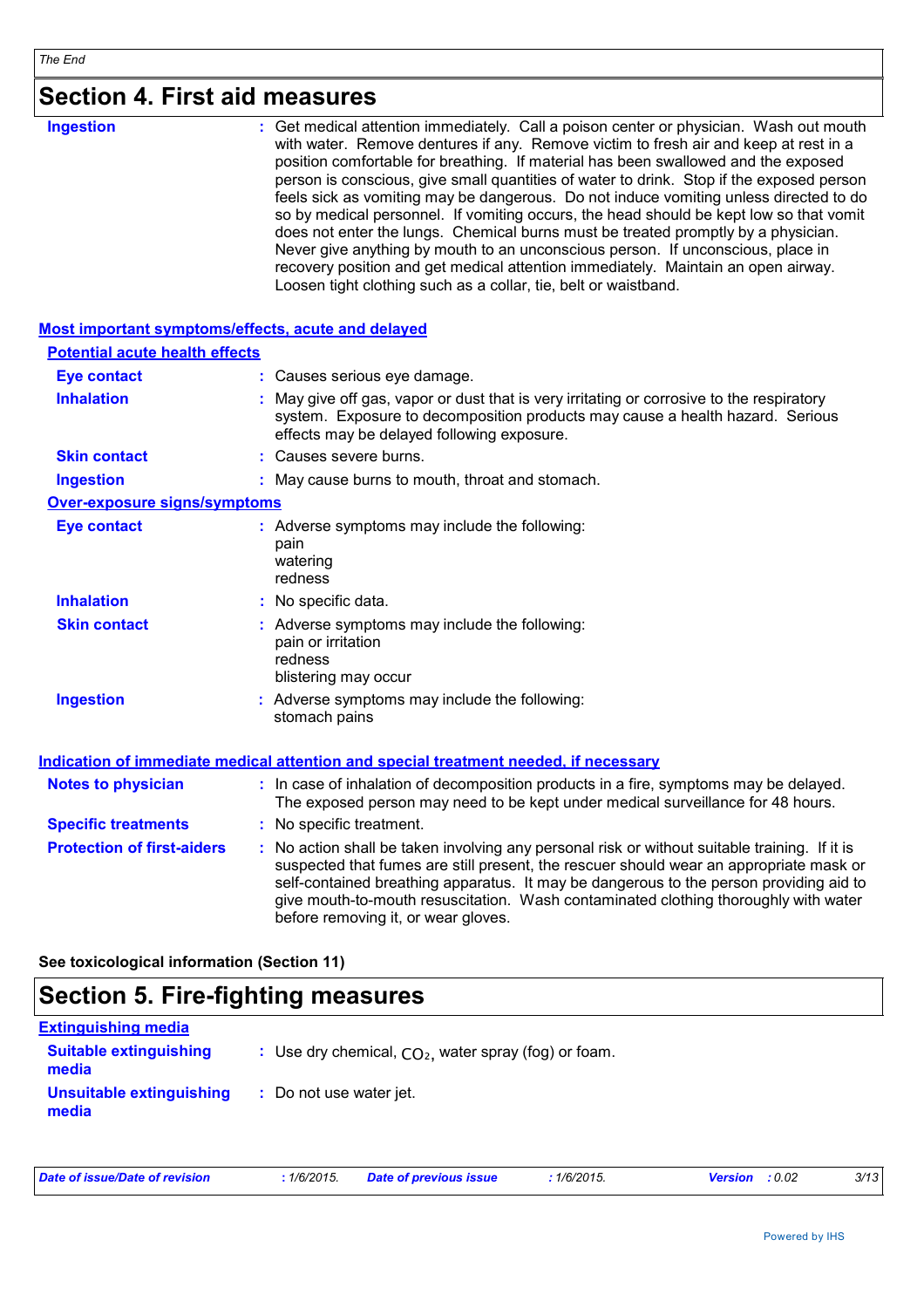# **Section 4. First aid measures**

| <b>Ingestion</b> | : Get medical attention immediately. Call a poison center or physician. Wash out mouth<br>with water. Remove dentures if any. Remove victim to fresh air and keep at rest in a<br>position comfortable for breathing. If material has been swallowed and the exposed<br>person is conscious, give small quantities of water to drink. Stop if the exposed person<br>feels sick as vomiting may be dangerous. Do not induce vomiting unless directed to do<br>so by medical personnel. If vomiting occurs, the head should be kept low so that vomit<br>does not enter the lungs. Chemical burns must be treated promptly by a physician.<br>Never give anything by mouth to an unconscious person. If unconscious, place in<br>recovery position and get medical attention immediately. Maintain an open airway.<br>Loosen tight clothing such as a collar, tie, belt or waistband. |
|------------------|-------------------------------------------------------------------------------------------------------------------------------------------------------------------------------------------------------------------------------------------------------------------------------------------------------------------------------------------------------------------------------------------------------------------------------------------------------------------------------------------------------------------------------------------------------------------------------------------------------------------------------------------------------------------------------------------------------------------------------------------------------------------------------------------------------------------------------------------------------------------------------------|
|                  |                                                                                                                                                                                                                                                                                                                                                                                                                                                                                                                                                                                                                                                                                                                                                                                                                                                                                     |

| Most important symptoms/effects, acute and delayed |                                                                                                                                                                                                                                                                                                                                                                                                                 |
|----------------------------------------------------|-----------------------------------------------------------------------------------------------------------------------------------------------------------------------------------------------------------------------------------------------------------------------------------------------------------------------------------------------------------------------------------------------------------------|
| <b>Potential acute health effects</b>              |                                                                                                                                                                                                                                                                                                                                                                                                                 |
| <b>Eye contact</b>                                 | : Causes serious eye damage.                                                                                                                                                                                                                                                                                                                                                                                    |
| <b>Inhalation</b>                                  | : May give off gas, vapor or dust that is very irritating or corrosive to the respiratory<br>system. Exposure to decomposition products may cause a health hazard. Serious<br>effects may be delayed following exposure.                                                                                                                                                                                        |
| <b>Skin contact</b>                                | : Causes severe burns.                                                                                                                                                                                                                                                                                                                                                                                          |
| <b>Ingestion</b>                                   | : May cause burns to mouth, throat and stomach.                                                                                                                                                                                                                                                                                                                                                                 |
| <b>Over-exposure signs/symptoms</b>                |                                                                                                                                                                                                                                                                                                                                                                                                                 |
| <b>Eye contact</b>                                 | : Adverse symptoms may include the following:<br>pain<br>watering<br>redness                                                                                                                                                                                                                                                                                                                                    |
| <b>Inhalation</b>                                  | : No specific data.                                                                                                                                                                                                                                                                                                                                                                                             |
| <b>Skin contact</b>                                | : Adverse symptoms may include the following:<br>pain or irritation<br>redness<br>blistering may occur                                                                                                                                                                                                                                                                                                          |
| <b>Ingestion</b>                                   | : Adverse symptoms may include the following:<br>stomach pains                                                                                                                                                                                                                                                                                                                                                  |
|                                                    | Indication of immediate medical attention and special treatment needed, if necessary                                                                                                                                                                                                                                                                                                                            |
| <b>Notes to physician</b>                          | : In case of inhalation of decomposition products in a fire, symptoms may be delayed.<br>The exposed person may need to be kept under medical surveillance for 48 hours.                                                                                                                                                                                                                                        |
| <b>Specific treatments</b>                         | : No specific treatment.                                                                                                                                                                                                                                                                                                                                                                                        |
| <b>Protection of first-aiders</b>                  | : No action shall be taken involving any personal risk or without suitable training. If it is<br>suspected that fumes are still present, the rescuer should wear an appropriate mask or<br>self-contained breathing apparatus. It may be dangerous to the person providing aid to<br>give mouth-to-mouth resuscitation. Wash contaminated clothing thoroughly with water<br>before removing it, or wear gloves. |

**See toxicological information (Section 11)**

## **Section 5. Fire-fighting measures**

| <b>Extinguishing media</b>             |                                                        |
|----------------------------------------|--------------------------------------------------------|
| <b>Suitable extinguishing</b><br>media | : Use dry chemical, $CO2$ , water spray (fog) or foam. |
| Unsuitable extinguishing<br>media      | : Do not use water jet.                                |

*Date of issue/Date of revision* **:** *1/6/2015. Date of previous issue : 1/6/2015. Version : 0.02 3/13*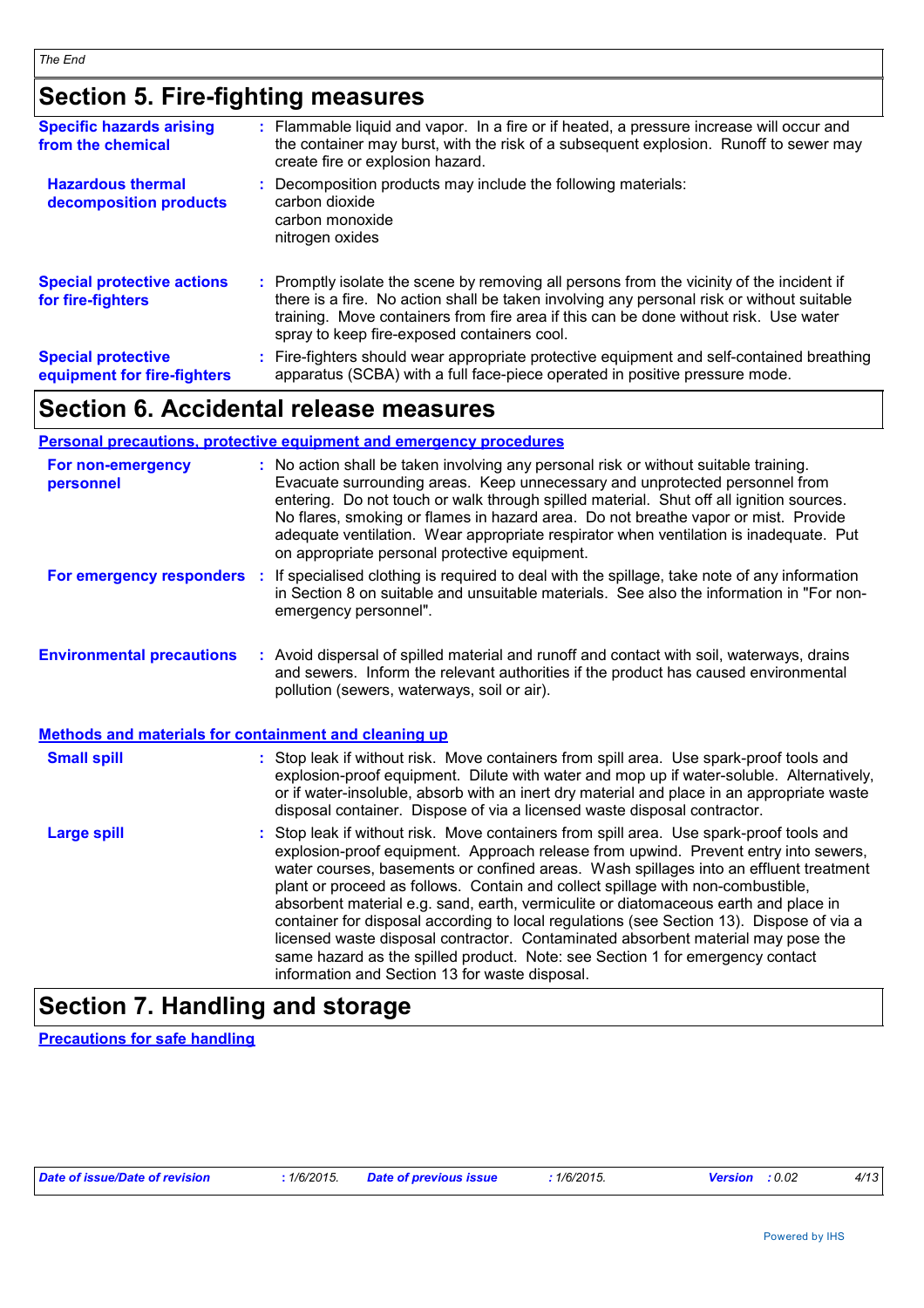# **Section 5. Fire-fighting measures**

| <b>Special protective</b><br>equipment for fire-fighters | : Fire-fighters should wear appropriate protective equipment and self-contained breathing<br>apparatus (SCBA) with a full face-piece operated in positive pressure mode.                                                                                                                                                      |
|----------------------------------------------------------|-------------------------------------------------------------------------------------------------------------------------------------------------------------------------------------------------------------------------------------------------------------------------------------------------------------------------------|
| <b>Special protective actions</b><br>for fire-fighters   | : Promptly isolate the scene by removing all persons from the vicinity of the incident if<br>there is a fire. No action shall be taken involving any personal risk or without suitable<br>training. Move containers from fire area if this can be done without risk. Use water<br>spray to keep fire-exposed containers cool. |
| <b>Hazardous thermal</b><br>decomposition products       | Decomposition products may include the following materials:<br>carbon dioxide<br>carbon monoxide<br>nitrogen oxides                                                                                                                                                                                                           |
| <b>Specific hazards arising</b><br>from the chemical     | : Flammable liquid and vapor. In a fire or if heated, a pressure increase will occur and<br>the container may burst, with the risk of a subsequent explosion. Runoff to sewer may<br>create fire or explosion hazard.                                                                                                         |

### **Section 6. Accidental release measures**

#### **Personal precautions, protective equipment and emergency procedures**

| For non-emergency<br>personnel                               | : No action shall be taken involving any personal risk or without suitable training.<br>Evacuate surrounding areas. Keep unnecessary and unprotected personnel from<br>entering. Do not touch or walk through spilled material. Shut off all ignition sources.<br>No flares, smoking or flames in hazard area. Do not breathe vapor or mist. Provide<br>adequate ventilation. Wear appropriate respirator when ventilation is inadequate. Put<br>on appropriate personal protective equipment.                                                                                                                                                                                                                                                                       |
|--------------------------------------------------------------|----------------------------------------------------------------------------------------------------------------------------------------------------------------------------------------------------------------------------------------------------------------------------------------------------------------------------------------------------------------------------------------------------------------------------------------------------------------------------------------------------------------------------------------------------------------------------------------------------------------------------------------------------------------------------------------------------------------------------------------------------------------------|
| For emergency responders                                     | If specialised clothing is required to deal with the spillage, take note of any information<br>÷.<br>in Section 8 on suitable and unsuitable materials. See also the information in "For non-<br>emergency personnel".                                                                                                                                                                                                                                                                                                                                                                                                                                                                                                                                               |
| <b>Environmental precautions</b>                             | : Avoid dispersal of spilled material and runoff and contact with soil, waterways, drains<br>and sewers. Inform the relevant authorities if the product has caused environmental<br>pollution (sewers, waterways, soil or air).                                                                                                                                                                                                                                                                                                                                                                                                                                                                                                                                      |
| <b>Methods and materials for containment and cleaning up</b> |                                                                                                                                                                                                                                                                                                                                                                                                                                                                                                                                                                                                                                                                                                                                                                      |
| <b>Small spill</b>                                           | : Stop leak if without risk. Move containers from spill area. Use spark-proof tools and<br>explosion-proof equipment. Dilute with water and mop up if water-soluble. Alternatively,<br>or if water-insoluble, absorb with an inert dry material and place in an appropriate waste<br>disposal container. Dispose of via a licensed waste disposal contractor.                                                                                                                                                                                                                                                                                                                                                                                                        |
| <b>Large spill</b>                                           | : Stop leak if without risk. Move containers from spill area. Use spark-proof tools and<br>explosion-proof equipment. Approach release from upwind. Prevent entry into sewers,<br>water courses, basements or confined areas. Wash spillages into an effluent treatment<br>plant or proceed as follows. Contain and collect spillage with non-combustible,<br>absorbent material e.g. sand, earth, vermiculite or diatomaceous earth and place in<br>container for disposal according to local regulations (see Section 13). Dispose of via a<br>licensed waste disposal contractor. Contaminated absorbent material may pose the<br>same hazard as the spilled product. Note: see Section 1 for emergency contact<br>information and Section 13 for waste disposal. |

# **Section 7. Handling and storage**

**Precautions for safe handling**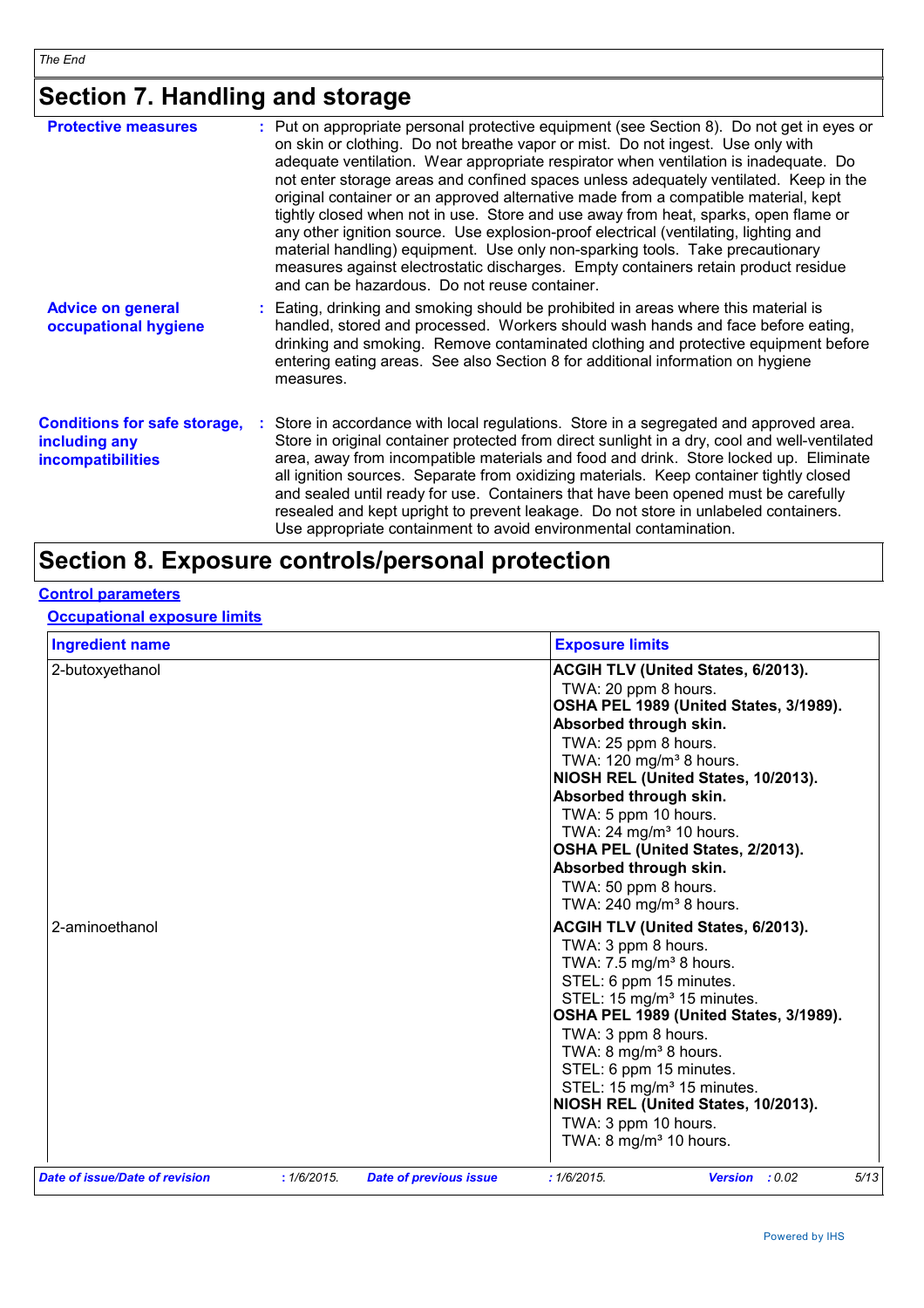# **Section 7. Handling and storage**

| <b>Protective measures</b>                                                       | : Put on appropriate personal protective equipment (see Section 8). Do not get in eyes or<br>on skin or clothing. Do not breathe vapor or mist. Do not ingest. Use only with<br>adequate ventilation. Wear appropriate respirator when ventilation is inadequate. Do<br>not enter storage areas and confined spaces unless adequately ventilated. Keep in the<br>original container or an approved alternative made from a compatible material, kept<br>tightly closed when not in use. Store and use away from heat, sparks, open flame or<br>any other ignition source. Use explosion-proof electrical (ventilating, lighting and<br>material handling) equipment. Use only non-sparking tools. Take precautionary<br>measures against electrostatic discharges. Empty containers retain product residue<br>and can be hazardous. Do not reuse container. |
|----------------------------------------------------------------------------------|-------------------------------------------------------------------------------------------------------------------------------------------------------------------------------------------------------------------------------------------------------------------------------------------------------------------------------------------------------------------------------------------------------------------------------------------------------------------------------------------------------------------------------------------------------------------------------------------------------------------------------------------------------------------------------------------------------------------------------------------------------------------------------------------------------------------------------------------------------------|
| <b>Advice on general</b><br>occupational hygiene                                 | : Eating, drinking and smoking should be prohibited in areas where this material is<br>handled, stored and processed. Workers should wash hands and face before eating,<br>drinking and smoking. Remove contaminated clothing and protective equipment before<br>entering eating areas. See also Section 8 for additional information on hygiene<br>measures.                                                                                                                                                                                                                                                                                                                                                                                                                                                                                               |
| <b>Conditions for safe storage,</b><br>including any<br><b>incompatibilities</b> | Store in accordance with local regulations. Store in a segregated and approved area.<br>Store in original container protected from direct sunlight in a dry, cool and well-ventilated<br>area, away from incompatible materials and food and drink. Store locked up. Eliminate<br>all ignition sources. Separate from oxidizing materials. Keep container tightly closed<br>and sealed until ready for use. Containers that have been opened must be carefully<br>resealed and kept upright to prevent leakage. Do not store in unlabeled containers.<br>Use appropriate containment to avoid environmental contamination.                                                                                                                                                                                                                                  |

# **Section 8. Exposure controls/personal protection**

#### **Control parameters**

#### **Occupational exposure limits**

| <b>Ingredient name</b>                |                                                                                                                                                                                                                                                                                                                                                                                                                                                               |                               | <b>Exposure limits</b>                                                                                                                                                                                                                                                                                                                                                      |                                                                               |      |
|---------------------------------------|---------------------------------------------------------------------------------------------------------------------------------------------------------------------------------------------------------------------------------------------------------------------------------------------------------------------------------------------------------------------------------------------------------------------------------------------------------------|-------------------------------|-----------------------------------------------------------------------------------------------------------------------------------------------------------------------------------------------------------------------------------------------------------------------------------------------------------------------------------------------------------------------------|-------------------------------------------------------------------------------|------|
| 2-butoxyethanol                       | ACGIH TLV (United States, 6/2013).<br>TWA: 20 ppm 8 hours.<br>OSHA PEL 1989 (United States, 3/1989).<br>Absorbed through skin.<br>TWA: 25 ppm 8 hours.<br>TWA: $120$ mg/m <sup>3</sup> 8 hours.<br>NIOSH REL (United States, 10/2013).<br>Absorbed through skin.<br>TWA: 5 ppm 10 hours.<br>TWA: 24 mg/m <sup>3</sup> 10 hours.<br>OSHA PEL (United States, 2/2013).<br>Absorbed through skin.<br>TWA: 50 ppm 8 hours.<br>TWA: 240 mg/m <sup>3</sup> 8 hours. |                               |                                                                                                                                                                                                                                                                                                                                                                             |                                                                               |      |
| 2-aminoethanol                        |                                                                                                                                                                                                                                                                                                                                                                                                                                                               |                               | <b>ACGIH TLV (United States, 6/2013).</b><br>TWA: 3 ppm 8 hours.<br>TWA: 7.5 mg/m <sup>3</sup> 8 hours.<br>STEL: 6 ppm 15 minutes.<br>STEL: 15 mg/m <sup>3</sup> 15 minutes.<br>TWA: 3 ppm 8 hours.<br>TWA: 8 mg/m <sup>3</sup> 8 hours.<br>STEL: 6 ppm 15 minutes.<br>STEL: 15 mg/m <sup>3</sup> 15 minutes.<br>TWA: 3 ppm 10 hours.<br>TWA: 8 mg/m <sup>3</sup> 10 hours. | OSHA PEL 1989 (United States, 3/1989).<br>NIOSH REL (United States, 10/2013). |      |
| <b>Date of issue/Date of revision</b> | :1/6/2015.                                                                                                                                                                                                                                                                                                                                                                                                                                                    | <b>Date of previous issue</b> | :1/6/2015.                                                                                                                                                                                                                                                                                                                                                                  | <b>Version</b> : 0.02                                                         | 5/13 |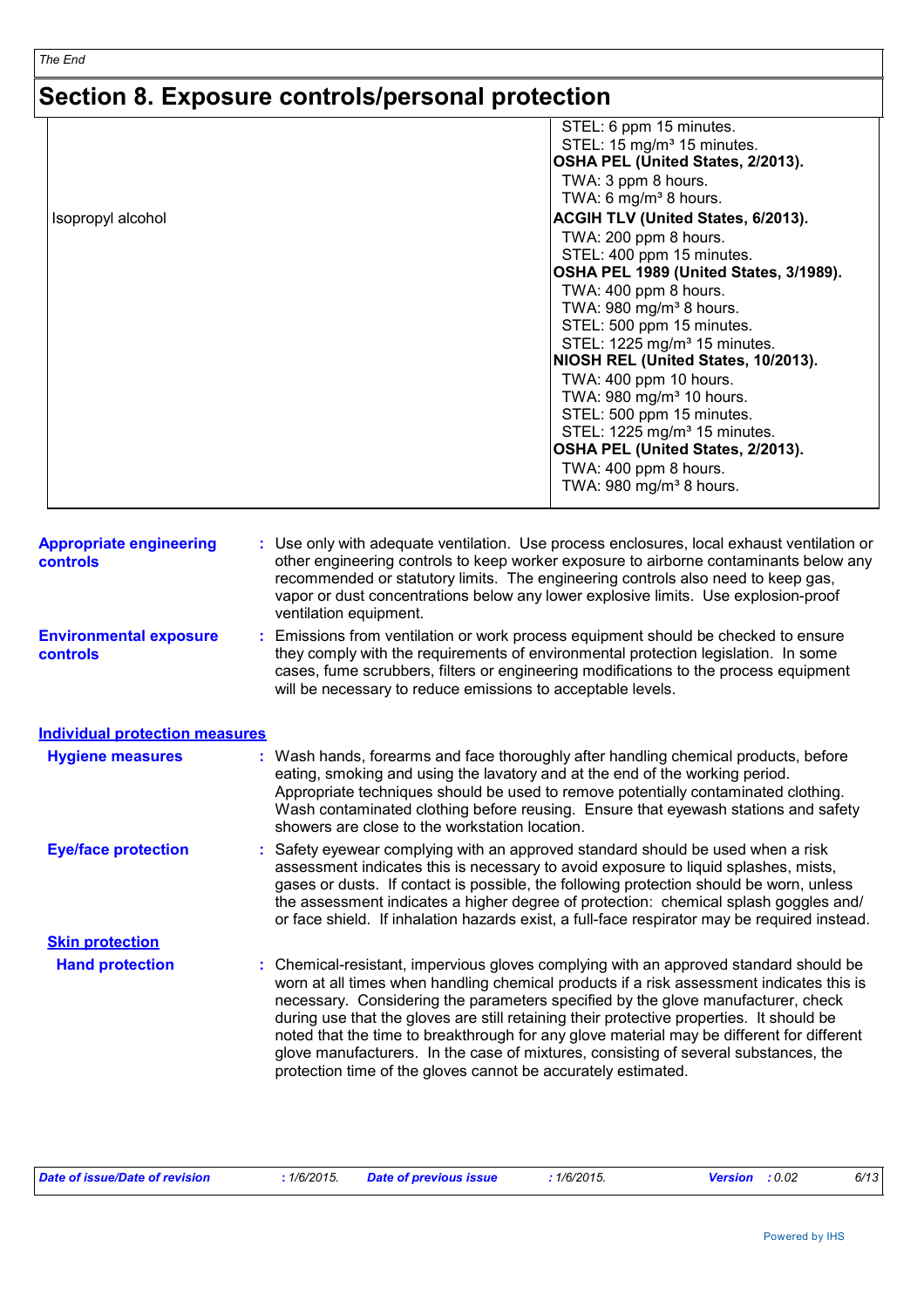# **Section 8. Exposure controls/personal protection**

| <b>Appropriate engineering</b><br><b>controls</b> | : Use only with adequate ventilation. Use process enclosures, local exhaust ventilation or<br>other engineering controls to keep worker exposure to airborne contaminants below any<br>المتحاوية المقام والمتحدث والمساوية والمتحدث والمستحدث والتحال المتحافظ المتحاولة المتحاول والمستحدث والمتحدث                                                                                                                                                                                                                                                               |
|---------------------------------------------------|--------------------------------------------------------------------------------------------------------------------------------------------------------------------------------------------------------------------------------------------------------------------------------------------------------------------------------------------------------------------------------------------------------------------------------------------------------------------------------------------------------------------------------------------------------------------|
| Isopropyl alcohol                                 | ACGIH TLV (United States, 6/2013).<br>TWA: 200 ppm 8 hours.<br>STEL: 400 ppm 15 minutes.<br>OSHA PEL 1989 (United States, 3/1989).<br>TWA: 400 ppm 8 hours.<br>TWA: 980 mg/m <sup>3</sup> 8 hours.<br>STEL: 500 ppm 15 minutes.<br>STEL: 1225 mg/m <sup>3</sup> 15 minutes.<br>NIOSH REL (United States, 10/2013).<br>TWA: 400 ppm 10 hours.<br>TWA: 980 mg/m <sup>3</sup> 10 hours.<br>STEL: 500 ppm 15 minutes.<br>STEL: 1225 mg/m <sup>3</sup> 15 minutes.<br>OSHA PEL (United States, 2/2013).<br>TWA: 400 ppm 8 hours.<br>TWA: 980 mg/m <sup>3</sup> 8 hours. |
|                                                   | STEL: 6 ppm 15 minutes.<br>STEL: 15 mg/m <sup>3</sup> 15 minutes.<br>OSHA PEL (United States, 2/2013).<br>TWA: 3 ppm 8 hours.<br>TWA: 6 mg/m <sup>3</sup> 8 hours.                                                                                                                                                                                                                                                                                                                                                                                                 |

recommended or statutory limits. The engineering controls also need to keep gas, vapor or dust concentrations below any lower explosive limits. Use explosion-proof ventilation equipment.

**Environmental exposure controls :** Emissions from ventilation or work process equipment should be checked to ensure they comply with the requirements of environmental protection legislation. In some cases, fume scrubbers, filters or engineering modifications to the process equipment will be necessary to reduce emissions to acceptable levels.

**Individual protection measures**

| <b>Hygiene measures</b>    | : Wash hands, forearms and face thoroughly after handling chemical products, before<br>eating, smoking and using the lavatory and at the end of the working period.<br>Appropriate techniques should be used to remove potentially contaminated clothing.<br>Wash contaminated clothing before reusing. Ensure that eyewash stations and safety<br>showers are close to the workstation location. |
|----------------------------|---------------------------------------------------------------------------------------------------------------------------------------------------------------------------------------------------------------------------------------------------------------------------------------------------------------------------------------------------------------------------------------------------|
| <b>Eye/face protection</b> | : Safety eyewear complying with an approved standard should be used when a risk<br>assessment indicates this is necessary to avoid exposure to liquid splashes, mists,<br>asses or dusts If contact is possible the following protection should be worn unless                                                                                                                                    |

**Hand protection** : Chemical-resistant, impervious gloves complying with an approved standard should be **inverted** or dusts. If contact is possible, the following protection should be worn, unless the assessment indicates a higher degree of protection: chemical splash goggles and/ or face shield. If inhalation hazards exist, a full-face respirator may be required instead. **Skin protection**

worn at all times when handling chemical products if a risk assessment indicates this is necessary. Considering the parameters specified by the glove manufacturer, check during use that the gloves are still retaining their protective properties. It should be noted that the time to breakthrough for any glove material may be different for different glove manufacturers. In the case of mixtures, consisting of several substances, the protection time of the gloves cannot be accurately estimated.

| Date of issue/Date of revision | :1/6/2015. | <b>Date of previous issue</b> | $1/6/2015$ . | <b>Version</b> : 0.02 | 6/13 |
|--------------------------------|------------|-------------------------------|--------------|-----------------------|------|
|                                |            |                               |              |                       |      |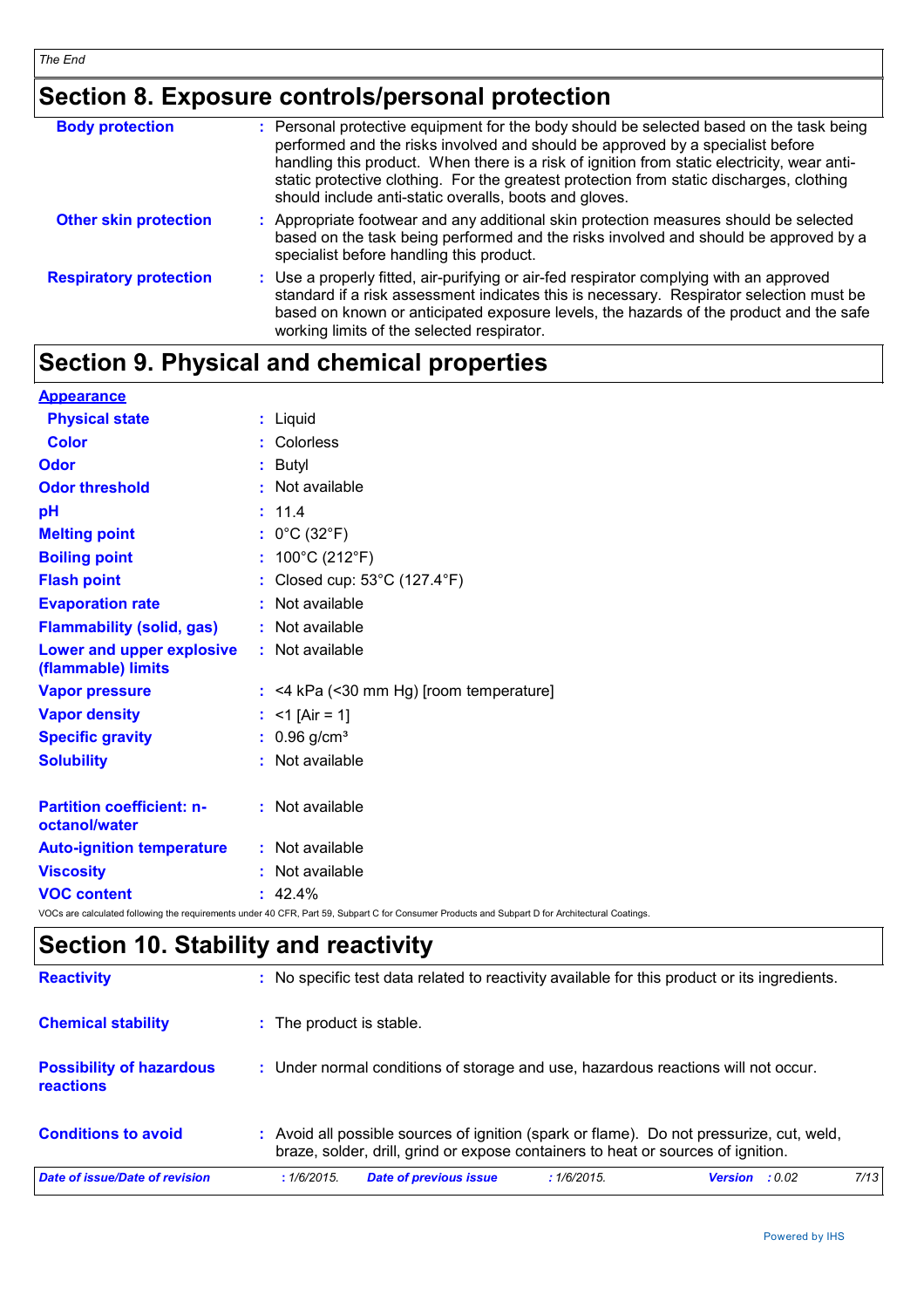# **Section 8. Exposure controls/personal protection**

| <b>Body protection</b>        | : Personal protective equipment for the body should be selected based on the task being<br>performed and the risks involved and should be approved by a specialist before<br>handling this product. When there is a risk of ignition from static electricity, wear anti-<br>static protective clothing. For the greatest protection from static discharges, clothing<br>should include anti-static overalls, boots and gloves. |
|-------------------------------|--------------------------------------------------------------------------------------------------------------------------------------------------------------------------------------------------------------------------------------------------------------------------------------------------------------------------------------------------------------------------------------------------------------------------------|
| <b>Other skin protection</b>  | : Appropriate footwear and any additional skin protection measures should be selected<br>based on the task being performed and the risks involved and should be approved by a<br>specialist before handling this product.                                                                                                                                                                                                      |
| <b>Respiratory protection</b> | : Use a properly fitted, air-purifying or air-fed respirator complying with an approved<br>standard if a risk assessment indicates this is necessary. Respirator selection must be<br>based on known or anticipated exposure levels, the hazards of the product and the safe<br>working limits of the selected respirator.                                                                                                     |

# **Section 9. Physical and chemical properties**

| <b>Appearance</b>                                 |                                                                                                                                                 |
|---------------------------------------------------|-------------------------------------------------------------------------------------------------------------------------------------------------|
| <b>Physical state</b>                             | : Liquid                                                                                                                                        |
| <b>Color</b>                                      | : Colorless                                                                                                                                     |
| Odor                                              | : Butyl                                                                                                                                         |
| <b>Odor threshold</b>                             | : Not available                                                                                                                                 |
| pH                                                | : 11.4                                                                                                                                          |
| <b>Melting point</b>                              | : $0^{\circ}$ C (32 $^{\circ}$ F)                                                                                                               |
| <b>Boiling point</b>                              | : $100^{\circ}$ C (212 $^{\circ}$ F)                                                                                                            |
| <b>Flash point</b>                                | : Closed cup: 53°C (127.4°F)                                                                                                                    |
| <b>Evaporation rate</b>                           | : Not available                                                                                                                                 |
| <b>Flammability (solid, gas)</b>                  | : Not available                                                                                                                                 |
| Lower and upper explosive<br>(flammable) limits   | : Not available                                                                                                                                 |
| <b>Vapor pressure</b>                             | : <4 kPa (<30 mm Hg) [room temperature]                                                                                                         |
| <b>Vapor density</b>                              | : $<$ 1 [Air = 1]                                                                                                                               |
| <b>Specific gravity</b>                           | $: 0.96$ g/cm <sup>3</sup>                                                                                                                      |
| <b>Solubility</b>                                 | : Not available                                                                                                                                 |
| <b>Partition coefficient: n-</b><br>octanol/water | : Not available                                                                                                                                 |
| <b>Auto-ignition temperature</b>                  | : Not available                                                                                                                                 |
| <b>Viscosity</b>                                  | : Not available                                                                                                                                 |
| <b>VOC content</b>                                | $: 42.4\%$                                                                                                                                      |
|                                                   | VOCs are calculated following the requirements under 40 CFR, Part 59, Subpart C for Consumer Products and Subpart D for Architectural Coatings. |

# **Section 10. Stability and reactivity**

| <b>Reactivity</b>                                   |                          |                               |           | : No specific test data related to reactivity available for this product or its ingredients.                                                                                 |        |      |
|-----------------------------------------------------|--------------------------|-------------------------------|-----------|------------------------------------------------------------------------------------------------------------------------------------------------------------------------------|--------|------|
| <b>Chemical stability</b>                           | : The product is stable. |                               |           |                                                                                                                                                                              |        |      |
| <b>Possibility of hazardous</b><br><b>reactions</b> |                          |                               |           | : Under normal conditions of storage and use, hazardous reactions will not occur.                                                                                            |        |      |
| <b>Conditions to avoid</b>                          |                          |                               |           | : Avoid all possible sources of ignition (spark or flame). Do not pressurize, cut, weld,<br>braze, solder, drill, grind or expose containers to heat or sources of ignition. |        |      |
| Date of issue/Date of revision                      | :1/6/2015.               | <b>Date of previous issue</b> | :1/6/2015 | <b>Version</b>                                                                                                                                                               | : 0.02 | 7/13 |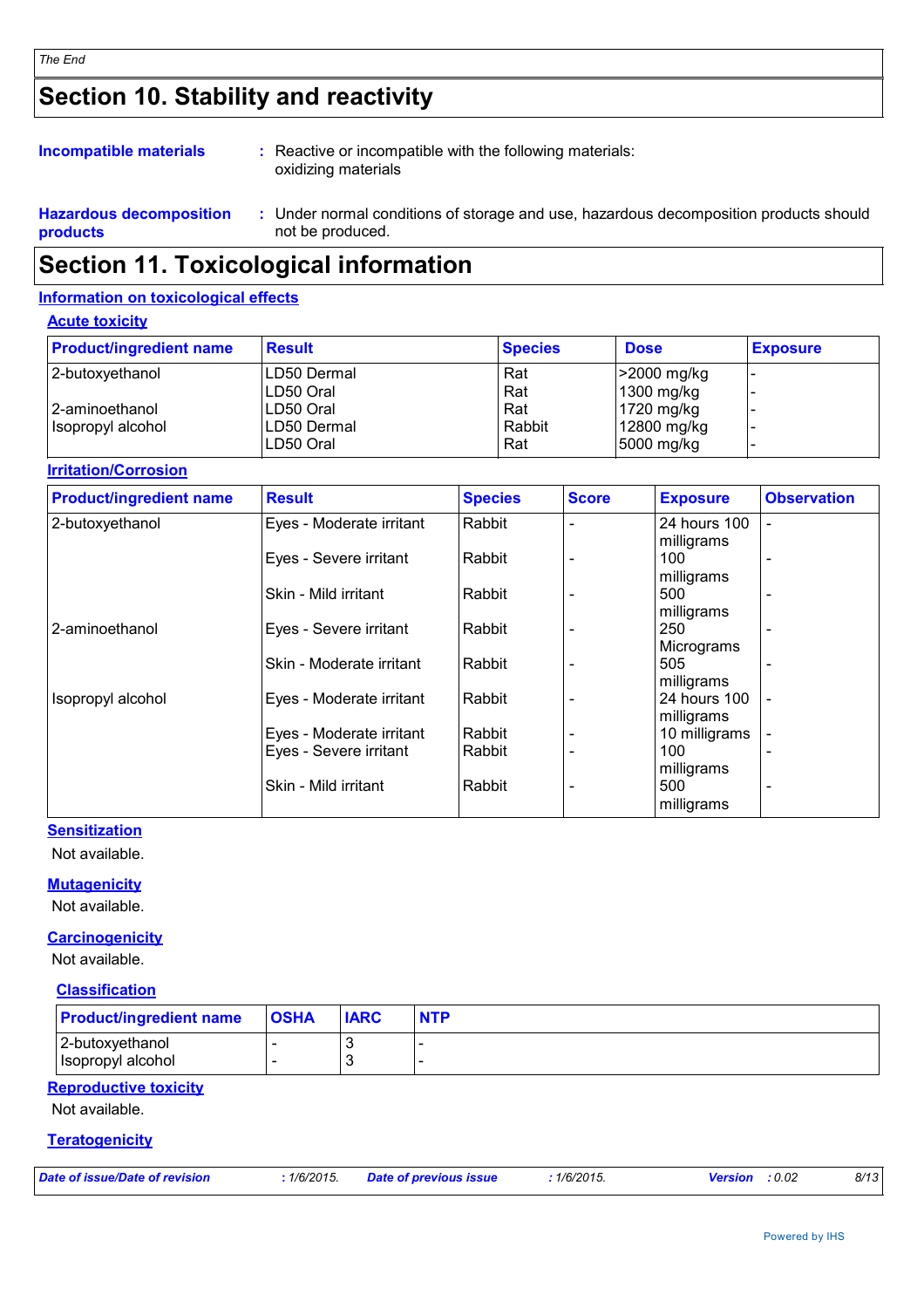# **Section 10. Stability and reactivity**

#### : Reactive or incompatible with the following materials: oxidizing materials **Incompatible materials :**

**Hazardous decomposition products** Under normal conditions of storage and use, hazardous decomposition products should **:** not be produced.

# **Section 11. Toxicological information**

### **Information on toxicological effects**

**Acute toxicity**

| <b>Product/ingredient name</b> | <b>Result</b> | <b>Species</b> | <b>Dose</b>  | <b>Exposure</b> |
|--------------------------------|---------------|----------------|--------------|-----------------|
| 2-butoxyethanol                | ILD50 Dermal  | Rat            | >2000 mg/kg  |                 |
|                                | ILD50 Oral    | Rat            | $1300$ mg/kg |                 |
| 2-aminoethanol                 | ILD50 Oral    | Rat            | $1720$ mg/kg |                 |
| I Isopropyl alcohol            | ILD50 Dermal  | Rabbit         | 12800 mg/kg  |                 |
|                                | LD50 Oral     | Rat            | 5000 mg/kg   |                 |

#### **Irritation/Corrosion**

| <b>Product/ingredient name</b> | <b>Result</b>            | <b>Species</b> | <b>Score</b> | <b>Exposure</b> | <b>Observation</b> |
|--------------------------------|--------------------------|----------------|--------------|-----------------|--------------------|
| 2-butoxyethanol                | Eyes - Moderate irritant | Rabbit         |              | 24 hours 100    |                    |
|                                |                          |                |              | milligrams      |                    |
|                                | Eyes - Severe irritant   | Rabbit         |              | 100             |                    |
|                                |                          |                |              | milligrams      |                    |
|                                | Skin - Mild irritant     | Rabbit         |              | 500             |                    |
|                                |                          |                |              | milligrams      |                    |
| 2-aminoethanol                 | Eyes - Severe irritant   | Rabbit         |              | 250             |                    |
|                                |                          |                |              | Micrograms      |                    |
|                                | Skin - Moderate irritant | Rabbit         |              | 505             |                    |
|                                |                          |                |              | milligrams      |                    |
| Isopropyl alcohol              | Eyes - Moderate irritant | Rabbit         |              | 24 hours 100    |                    |
|                                |                          |                |              | milligrams      |                    |
|                                | Eyes - Moderate irritant | Rabbit         |              | 10 milligrams   |                    |
|                                | Eyes - Severe irritant   | Rabbit         |              | 100             |                    |
|                                |                          |                |              | milligrams      |                    |
|                                | Skin - Mild irritant     | Rabbit         |              | 500             |                    |
|                                |                          |                |              | milligrams      |                    |

#### **Sensitization**

Not available.

#### **Mutagenicity**

Not available.

#### **Carcinogenicity**

Not available.

#### **Classification**

| <b>Product/ingredient name</b>       | <b>OSHA</b> | <b>IARC</b> | <b>NTP</b> |
|--------------------------------------|-------------|-------------|------------|
| 2-butoxyethanol<br>Isopropyl alcohol |             |             |            |

#### **Reproductive toxicity**

Not available.

#### **Teratogenicity**

| Date of issue/Date of revision | 1/6/2015. | <b>Date of previous issue</b> | $1/6/2015$ . | <b>Version</b> : 0.02 | 8/13 |
|--------------------------------|-----------|-------------------------------|--------------|-----------------------|------|
|                                |           |                               |              |                       |      |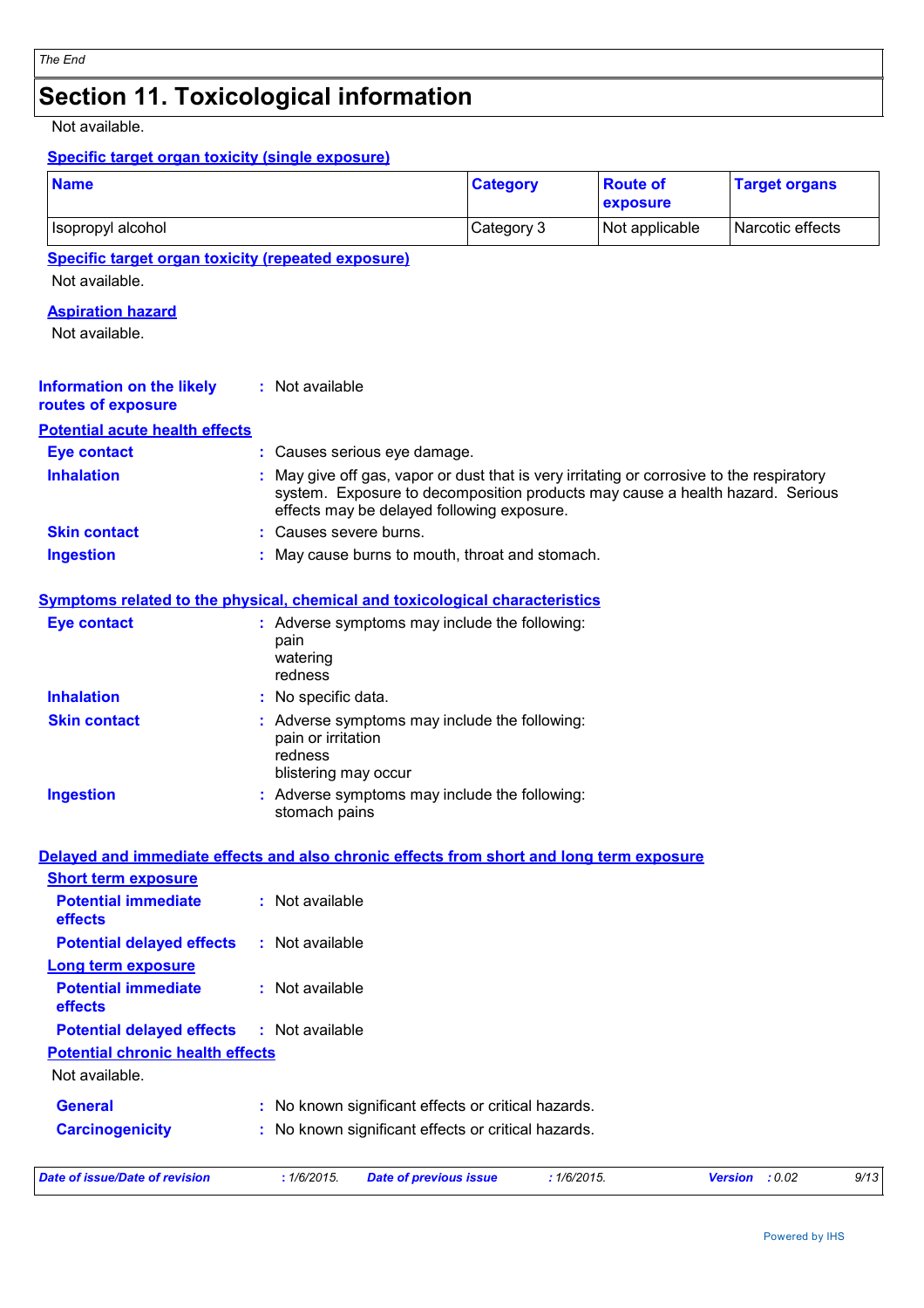# **Section 11. Toxicological information**

Not available.

#### **Specific target organ toxicity (single exposure)**

| <b>Name</b>                                                                              |                                                                                                                                                                                                                        | <b>Category</b>               |            | <b>Route of</b><br>exposure | <b>Target organs</b>   |
|------------------------------------------------------------------------------------------|------------------------------------------------------------------------------------------------------------------------------------------------------------------------------------------------------------------------|-------------------------------|------------|-----------------------------|------------------------|
| Isopropyl alcohol                                                                        |                                                                                                                                                                                                                        | Category 3                    |            | Not applicable              | Narcotic effects       |
| <b>Specific target organ toxicity (repeated exposure)</b><br>Not available.              |                                                                                                                                                                                                                        |                               |            |                             |                        |
| <b>Aspiration hazard</b><br>Not available.                                               |                                                                                                                                                                                                                        |                               |            |                             |                        |
| <b>Information on the likely</b><br>routes of exposure                                   | : Not available                                                                                                                                                                                                        |                               |            |                             |                        |
| <b>Potential acute health effects</b>                                                    |                                                                                                                                                                                                                        |                               |            |                             |                        |
| <b>Eye contact</b>                                                                       | : Causes serious eye damage.                                                                                                                                                                                           |                               |            |                             |                        |
| <b>Inhalation</b>                                                                        | May give off gas, vapor or dust that is very irritating or corrosive to the respiratory<br>system. Exposure to decomposition products may cause a health hazard. Serious<br>effects may be delayed following exposure. |                               |            |                             |                        |
| <b>Skin contact</b>                                                                      | : Causes severe burns.                                                                                                                                                                                                 |                               |            |                             |                        |
| <b>Ingestion</b>                                                                         | : May cause burns to mouth, throat and stomach.                                                                                                                                                                        |                               |            |                             |                        |
|                                                                                          |                                                                                                                                                                                                                        |                               |            |                             |                        |
| Symptoms related to the physical, chemical and toxicological characteristics             |                                                                                                                                                                                                                        |                               |            |                             |                        |
| <b>Eye contact</b>                                                                       | : Adverse symptoms may include the following:<br>pain<br>watering<br>redness                                                                                                                                           |                               |            |                             |                        |
| <b>Inhalation</b>                                                                        | No specific data.                                                                                                                                                                                                      |                               |            |                             |                        |
| <b>Skin contact</b>                                                                      | : Adverse symptoms may include the following:<br>pain or irritation<br>redness<br>blistering may occur                                                                                                                 |                               |            |                             |                        |
| <b>Ingestion</b>                                                                         | : Adverse symptoms may include the following:<br>stomach pains                                                                                                                                                         |                               |            |                             |                        |
| Delayed and immediate effects and also chronic effects from short and long term exposure |                                                                                                                                                                                                                        |                               |            |                             |                        |
| <b>Short term exposure</b>                                                               |                                                                                                                                                                                                                        |                               |            |                             |                        |
| <b>Potential immediate</b><br>effects                                                    | : Not available                                                                                                                                                                                                        |                               |            |                             |                        |
| <b>Potential delayed effects</b>                                                         | : Not available                                                                                                                                                                                                        |                               |            |                             |                        |
| <b>Long term exposure</b>                                                                |                                                                                                                                                                                                                        |                               |            |                             |                        |
| <b>Potential immediate</b><br>effects                                                    | : Not available                                                                                                                                                                                                        |                               |            |                             |                        |
| <b>Potential delayed effects</b>                                                         | : Not available                                                                                                                                                                                                        |                               |            |                             |                        |
| <b>Potential chronic health effects</b>                                                  |                                                                                                                                                                                                                        |                               |            |                             |                        |
| Not available.                                                                           |                                                                                                                                                                                                                        |                               |            |                             |                        |
| <b>General</b>                                                                           | No known significant effects or critical hazards.                                                                                                                                                                      |                               |            |                             |                        |
| <b>Carcinogenicity</b>                                                                   | No known significant effects or critical hazards.                                                                                                                                                                      |                               |            |                             |                        |
| <b>Date of issue/Date of revision</b>                                                    | : 1/6/2015.                                                                                                                                                                                                            | <b>Date of previous issue</b> | :1/6/2015. |                             | Version : 0.02<br>9/13 |
|                                                                                          |                                                                                                                                                                                                                        |                               |            |                             |                        |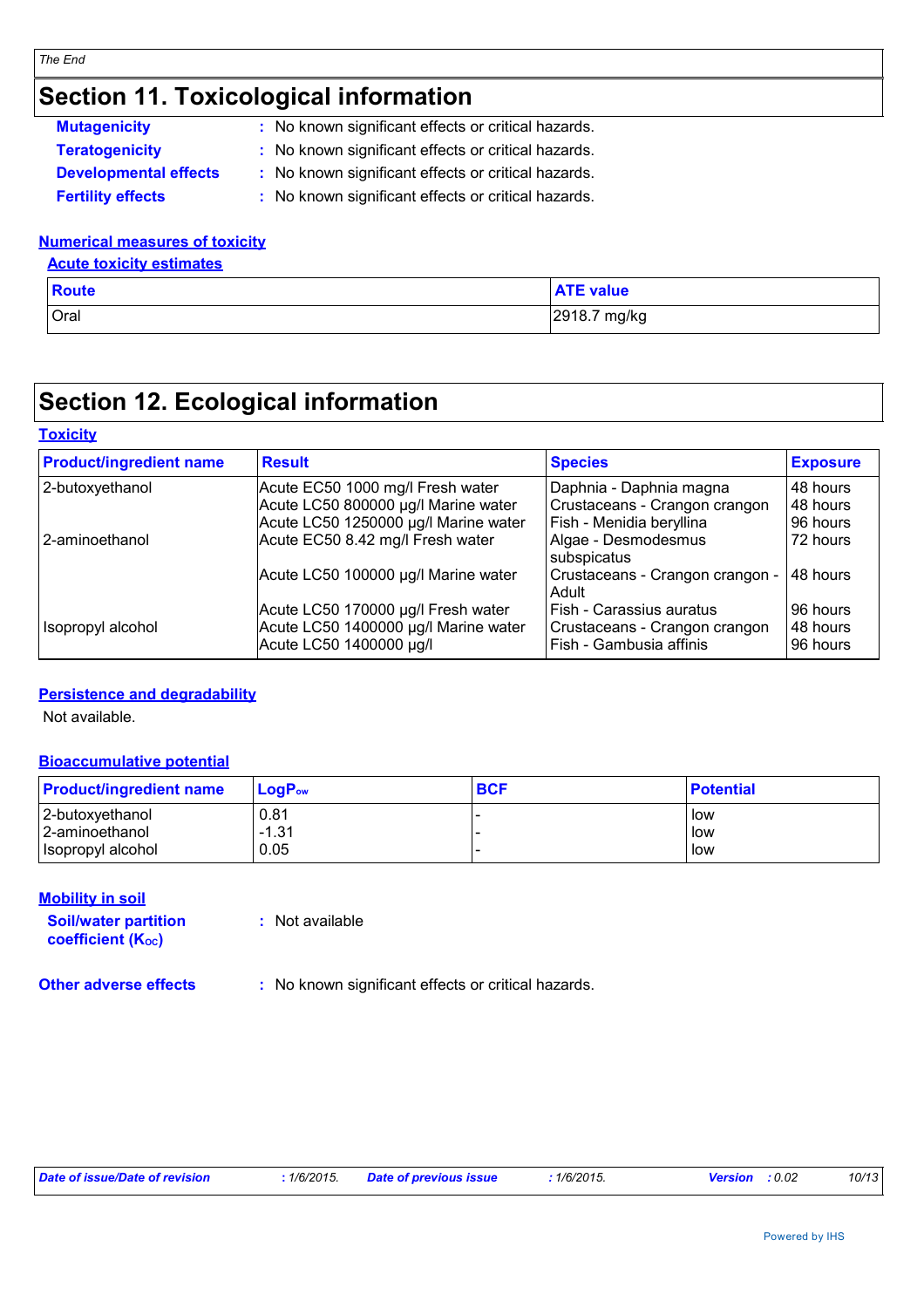# **Section 11. Toxicological information**

| <b>Mutagenicity</b>          | : No known significant effects or critical hazards. |
|------------------------------|-----------------------------------------------------|
| <b>Teratogenicity</b>        | : No known significant effects or critical hazards. |
| <b>Developmental effects</b> | : No known significant effects or critical hazards. |
| <b>Fertility effects</b>     | : No known significant effects or critical hazards. |

#### **Numerical measures of toxicity**

#### **Acute toxicity estimates**

| <b>Route</b> | <b>ATE value</b> |
|--------------|------------------|
| Oral         | 2918.7 mg/kg     |

# **Section 12. Ecological information**

#### **Toxicity**

| <b>Product/ingredient name</b> | <b>Result</b>                        | <b>Species</b>                  | <b>Exposure</b> |
|--------------------------------|--------------------------------------|---------------------------------|-----------------|
| 2-butoxyethanol                | Acute EC50 1000 mg/l Fresh water     | Daphnia - Daphnia magna         | 48 hours        |
|                                | Acute LC50 800000 µg/l Marine water  | Crustaceans - Crangon crangon   | 48 hours        |
|                                | Acute LC50 1250000 µg/l Marine water | Fish - Menidia beryllina        | 96 hours        |
| 2-aminoethanol                 | Acute EC50 8.42 mg/l Fresh water     | Algae - Desmodesmus             | 72 hours        |
|                                |                                      | subspicatus                     |                 |
|                                | Acute LC50 100000 µg/l Marine water  | Crustaceans - Crangon crangon - | 48 hours        |
|                                |                                      | Adult                           |                 |
|                                | Acute LC50 170000 µg/l Fresh water   | Fish - Carassius auratus        | 96 hours        |
| <b>Isopropyl alcohol</b>       | Acute LC50 1400000 µg/l Marine water | Crustaceans - Crangon crangon   | 48 hours        |
|                                | Acute LC50 1400000 µg/l              | Fish - Gambusia affinis         | 96 hours        |

#### **Persistence and degradability**

Not available.

#### **Bioaccumulative potential**

| <b>Product/ingredient name</b> | <b>LogP</b> <sub>ow</sub> | <b>BCF</b> | <b>Potential</b> |
|--------------------------------|---------------------------|------------|------------------|
| 2-butoxyethanol                | 0.81                      |            | l low            |
| 2-aminoethanol                 | $-1.31$                   |            | low              |
| Isopropyl alcohol              | 0.05                      |            | low              |

#### **Mobility in soil**

**Soil/water partition coefficient (Koc)** 

**:** Not available

**Other adverse effects** : No known significant effects or critical hazards.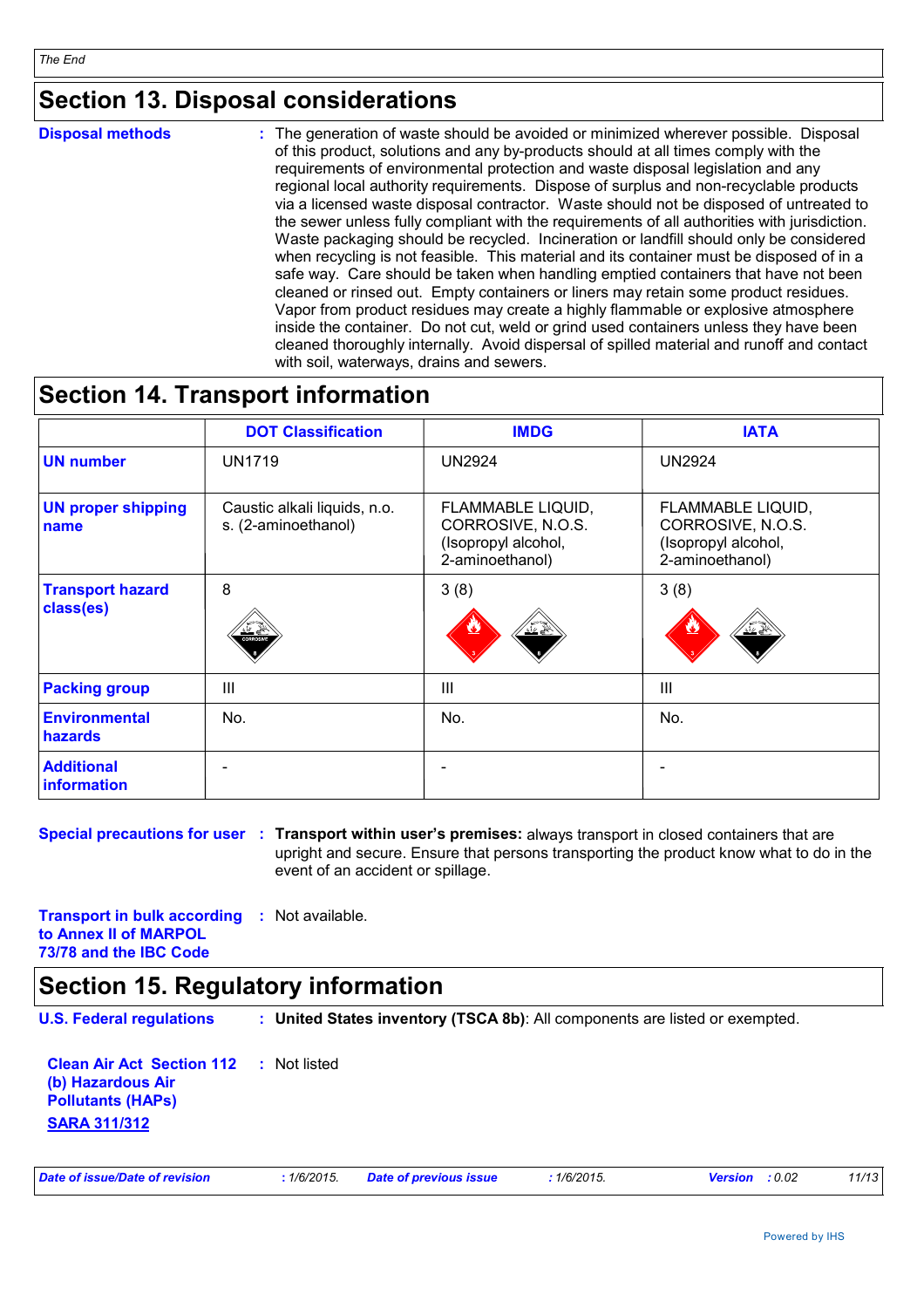## **Section 13. Disposal considerations**

**Disposal methods :**

The generation of waste should be avoided or minimized wherever possible. Disposal of this product, solutions and any by-products should at all times comply with the requirements of environmental protection and waste disposal legislation and any regional local authority requirements. Dispose of surplus and non-recyclable products via a licensed waste disposal contractor. Waste should not be disposed of untreated to the sewer unless fully compliant with the requirements of all authorities with jurisdiction. Waste packaging should be recycled. Incineration or landfill should only be considered when recycling is not feasible. This material and its container must be disposed of in a safe way. Care should be taken when handling emptied containers that have not been cleaned or rinsed out. Empty containers or liners may retain some product residues. Vapor from product residues may create a highly flammable or explosive atmosphere inside the container. Do not cut, weld or grind used containers unless they have been cleaned thoroughly internally. Avoid dispersal of spilled material and runoff and contact with soil, waterways, drains and sewers.

# **Section 14. Transport information**

|                                        | <b>DOT Classification</b>                           | <b>IMDG</b>                                                                      | <b>IATA</b>                                                                      |
|----------------------------------------|-----------------------------------------------------|----------------------------------------------------------------------------------|----------------------------------------------------------------------------------|
| <b>UN number</b>                       | <b>UN1719</b>                                       | <b>UN2924</b>                                                                    | <b>UN2924</b>                                                                    |
| <b>UN proper shipping</b><br>name      | Caustic alkali liquids, n.o.<br>s. (2-aminoethanol) | FLAMMABLE LIQUID,<br>CORROSIVE, N.O.S.<br>(Isopropyl alcohol,<br>2-aminoethanol) | FLAMMABLE LIQUID,<br>CORROSIVE, N.O.S.<br>(Isopropyl alcohol,<br>2-aminoethanol) |
| <b>Transport hazard</b><br>class(es)   | 8<br>CORROSIV                                       | 3(8)<br>تھ کان                                                                   | 3(8)<br>مخفيفه                                                                   |
| <b>Packing group</b>                   | $\mathbf{III}$                                      | III                                                                              | $\mathbf{III}$                                                                   |
| <b>Environmental</b><br><b>hazards</b> | No.                                                 | No.                                                                              | No.                                                                              |
| <b>Additional</b><br>information       |                                                     |                                                                                  |                                                                                  |

**Special precautions for user : Transport within user's premises: always transport in closed containers that are** upright and secure. Ensure that persons transporting the product know what to do in the event of an accident or spillage.

**Transport in bulk according :** Not available. **to Annex II of MARPOL 73/78 and the IBC Code**

# **Section 15. Regulatory information**

| <b>U.S. Federal regulations</b>                                                                          | : United States inventory (TSCA 8b): All components are listed or exempted. |
|----------------------------------------------------------------------------------------------------------|-----------------------------------------------------------------------------|
| <b>Clean Air Act Section 112</b><br>(b) Hazardous Air<br><b>Pollutants (HAPS)</b><br><b>SARA 311/312</b> | Not listed<br>- 10                                                          |

|  | Date of issue/Date of revision |  |
|--|--------------------------------|--|
|--|--------------------------------|--|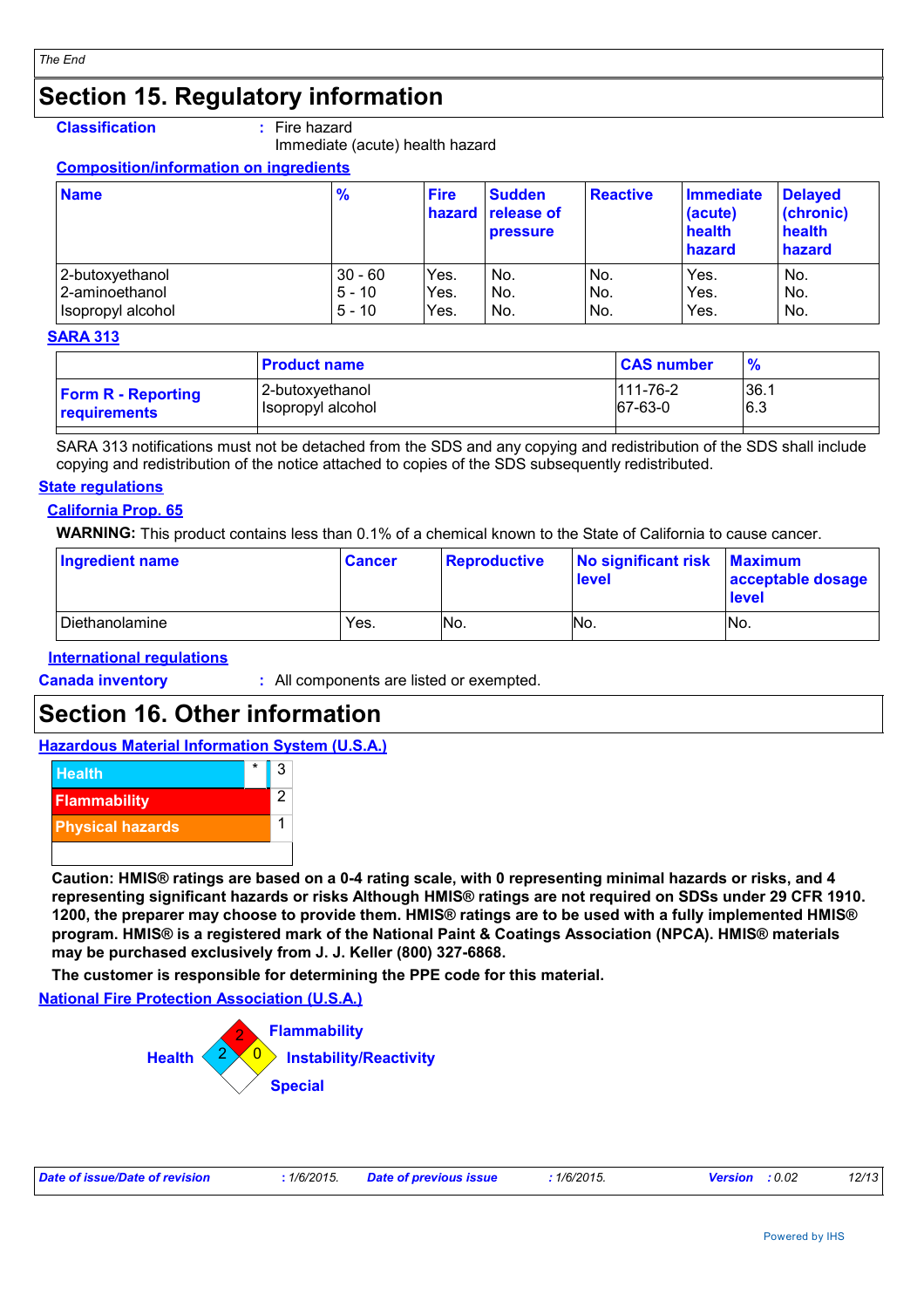# **Section 15. Regulatory information**

#### **Classification :** Fire hazard

Immediate (acute) health hazard

#### **Composition/information on ingredients**

| <b>Name</b>       | $\frac{9}{6}$ | <b>Fire</b> | <b>Sudden</b><br>hazard release of<br><b>pressure</b> | <b>Reactive</b> | <b>Immediate</b><br>(acute)<br>health<br>hazard | <b>Delayed</b><br>(chronic)<br>health<br>hazard |
|-------------------|---------------|-------------|-------------------------------------------------------|-----------------|-------------------------------------------------|-------------------------------------------------|
| 2-butoxyethanol   | $30 - 60$     | Yes.        | No.                                                   | No.             | Yes.                                            | No.                                             |
| 2-aminoethanol    | $5 - 10$      | Yes.        | No.                                                   | No.             | Yes.                                            | No.                                             |
| Isopropyl alcohol | $5 - 10$      | Yes.        | No.                                                   | No.             | Yes.                                            | No.                                             |

#### **SARA 313**

|                           | <b>Product name</b> | <b>CAS number</b> | $\frac{9}{6}$ |
|---------------------------|---------------------|-------------------|---------------|
| <b>Form R - Reporting</b> | 2-butoxyethanol     | $111 - 76 - 2$    | 36.1          |
| <b>requirements</b>       | Isopropyl alcohol   | 67-63-0           | 6.3           |

SARA 313 notifications must not be detached from the SDS and any copying and redistribution of the SDS shall include copying and redistribution of the notice attached to copies of the SDS subsequently redistributed.

#### **State regulations**

#### **California Prop. 65**

**WARNING:** This product contains less than 0.1% of a chemical known to the State of California to cause cancer.

| <b>Ingredient name</b> | <b>Cancer</b> | <b>Reproductive</b> | No significant risk<br><b>level</b> | <b>Maximum</b><br>acceptable dosage<br>level |
|------------------------|---------------|---------------------|-------------------------------------|----------------------------------------------|
| Diethanolamine         | Yes.          | No.                 | No.                                 | INo.                                         |

#### **International regulations**

**Canada inventory :** All components are listed or exempted.

### **Section 16. Other information**

#### **Hazardous Material Information System (U.S.A.)**



**Caution: HMIS® ratings are based on a 0-4 rating scale, with 0 representing minimal hazards or risks, and 4 representing significant hazards or risks Although HMIS® ratings are not required on SDSs under 29 CFR 1910. 1200, the preparer may choose to provide them. HMIS® ratings are to be used with a fully implemented HMIS® program. HMIS® is a registered mark of the National Paint & Coatings Association (NPCA). HMIS® materials may be purchased exclusively from J. J. Keller (800) 327-6868.**

**The customer is responsible for determining the PPE code for this material.**

**National Fire Protection Association (U.S.A.)**



| Date of issue/Date of revision | 1/6/2015. | <b>Date of previous issue</b> | 1/6/2015. | <b>Version</b> : 0.02 | 12/13 |
|--------------------------------|-----------|-------------------------------|-----------|-----------------------|-------|
|                                |           |                               |           |                       |       |